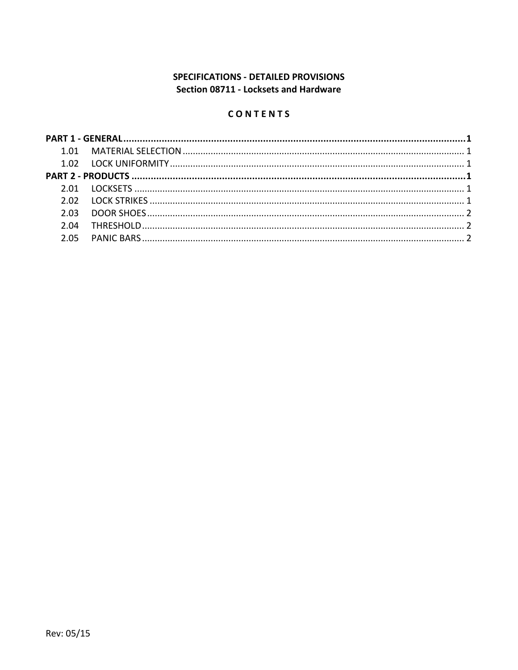# **SPECIFICATIONS - DETAILED PROVISIONS** Section 08711 - Locksets and Hardware

# CONTENTS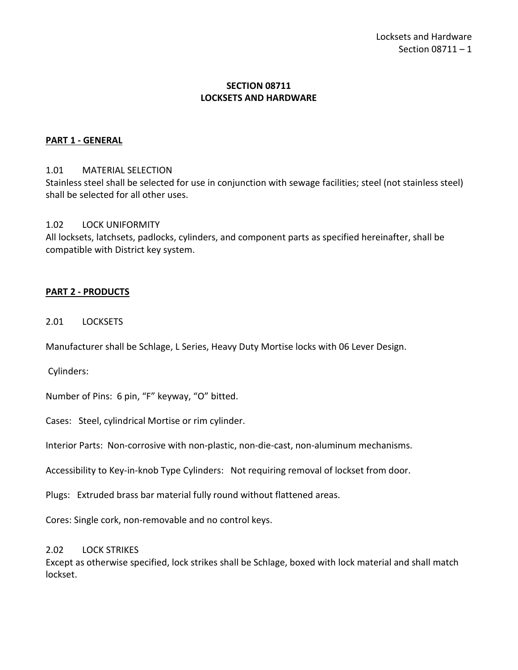## **SECTION 08711 LOCKSETS AND HARDWARE**

## <span id="page-2-0"></span>**PART 1 - GENERAL**

#### <span id="page-2-1"></span>1.01 MATERIAL SELECTION

Stainless steel shall be selected for use in conjunction with sewage facilities; steel (not stainless steel) shall be selected for all other uses.

#### <span id="page-2-2"></span>1.02 LOCK UNIFORMITY

All locksets, latchsets, padlocks, cylinders, and component parts as specified hereinafter, shall be compatible with District key system.

#### <span id="page-2-3"></span>**PART 2 - PRODUCTS**

#### <span id="page-2-4"></span>2.01 LOCKSETS

Manufacturer shall be Schlage, L Series, Heavy Duty Mortise locks with 06 Lever Design.

Cylinders:

Number of Pins: 6 pin, "F" keyway, "O" bitted.

Cases: Steel, cylindrical Mortise or rim cylinder.

Interior Parts: Non-corrosive with non-plastic, non-die-cast, non-aluminum mechanisms.

Accessibility to Key-in-knob Type Cylinders: Not requiring removal of lockset from door.

Plugs: Extruded brass bar material fully round without flattened areas.

Cores: Single cork, non-removable and no control keys.

#### <span id="page-2-5"></span>2.02 LOCK STRIKES

Except as otherwise specified, lock strikes shall be Schlage, boxed with lock material and shall match lockset.